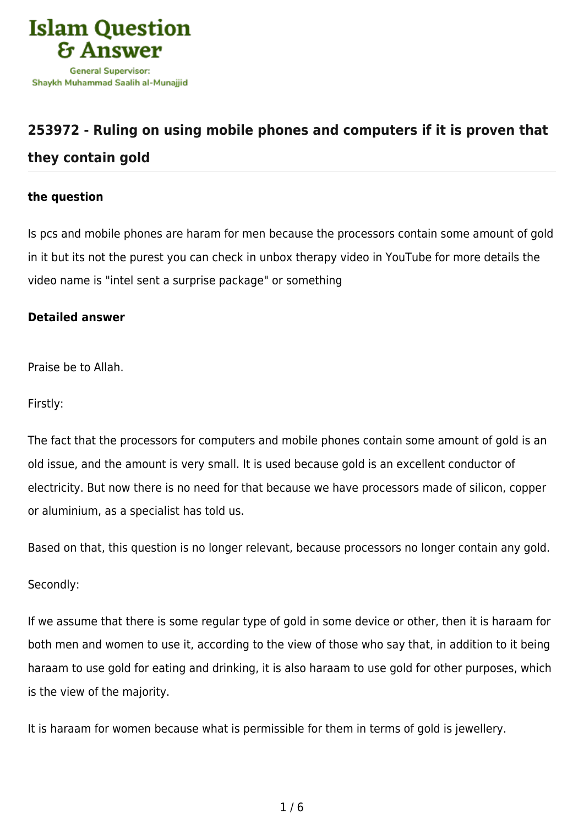

## **[253972 - Ruling on using mobile phones and computers if it is proven that](https://islamqa.com/en/answers/253972/ruling-on-using-mobile-phones-and-computers-if-it-is-proven-that-they-contain-gold) [they contain gold](https://islamqa.com/en/answers/253972/ruling-on-using-mobile-phones-and-computers-if-it-is-proven-that-they-contain-gold)**

## **the question**

Is pcs and mobile phones are haram for men because the processors contain some amount of gold in it but its not the purest you can check in unbox therapy video in YouTube for more details the video name is "intel sent a surprise package" or something

## **Detailed answer**

Praise be to Allah.

Firstly:

The fact that the processors for computers and mobile phones contain some amount of gold is an old issue, and the amount is very small. It is used because gold is an excellent conductor of electricity. But now there is no need for that because we have processors made of silicon, copper or aluminium, as a specialist has told us.

Based on that, this question is no longer relevant, because processors no longer contain any gold.

## Secondly:

If we assume that there is some regular type of gold in some device or other, then it is haraam for both men and women to use it, according to the view of those who say that, in addition to it being haraam to use gold for eating and drinking, it is also haraam to use gold for other purposes, which is the view of the majority.

It is haraam for women because what is permissible for them in terms of gold is jewellery.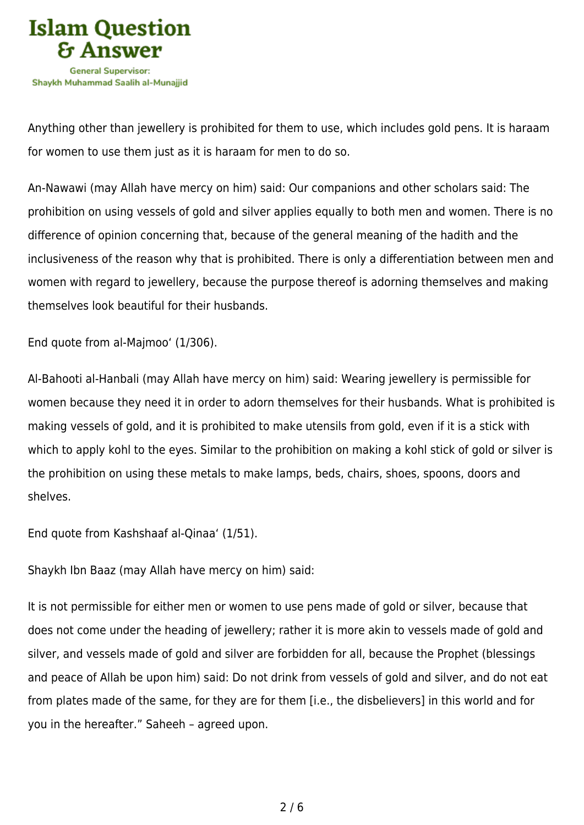

Anything other than jewellery is prohibited for them to use, which includes gold pens. It is haraam for women to use them just as it is haraam for men to do so.

An-Nawawi (may Allah have mercy on him) said: Our companions and other scholars said: The prohibition on using vessels of gold and silver applies equally to both men and women. There is no difference of opinion concerning that, because of the general meaning of the hadith and the inclusiveness of the reason why that is prohibited. There is only a differentiation between men and women with regard to jewellery, because the purpose thereof is adorning themselves and making themselves look beautiful for their husbands.

End quote from al-Majmoo' (1/306).

Al-Bahooti al-Hanbali (may Allah have mercy on him) said: Wearing jewellery is permissible for women because they need it in order to adorn themselves for their husbands. What is prohibited is making vessels of gold, and it is prohibited to make utensils from gold, even if it is a stick with which to apply kohl to the eyes. Similar to the prohibition on making a kohl stick of gold or silver is the prohibition on using these metals to make lamps, beds, chairs, shoes, spoons, doors and shelves.

End quote from Kashshaaf al-Qinaa' (1/51).

Shaykh Ibn Baaz (may Allah have mercy on him) said:

It is not permissible for either men or women to use pens made of gold or silver, because that does not come under the heading of jewellery; rather it is more akin to vessels made of gold and silver, and vessels made of gold and silver are forbidden for all, because the Prophet (blessings and peace of Allah be upon him) said: Do not drink from vessels of gold and silver, and do not eat from plates made of the same, for they are for them [i.e., the disbelievers] in this world and for you in the hereafter." Saheeh – agreed upon.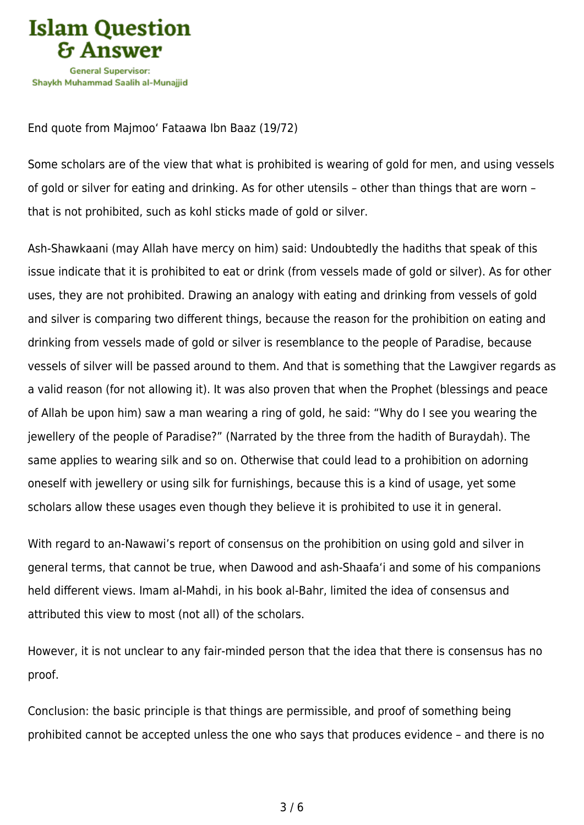

End quote from Majmoo' Fataawa Ibn Baaz (19/72)

Some scholars are of the view that what is prohibited is wearing of gold for men, and using vessels of gold or silver for eating and drinking. As for other utensils – other than things that are worn – that is not prohibited, such as kohl sticks made of gold or silver.

Ash-Shawkaani (may Allah have mercy on him) said: Undoubtedly the hadiths that speak of this issue indicate that it is prohibited to eat or drink (from vessels made of gold or silver). As for other uses, they are not prohibited. Drawing an analogy with eating and drinking from vessels of gold and silver is comparing two different things, because the reason for the prohibition on eating and drinking from vessels made of gold or silver is resemblance to the people of Paradise, because vessels of silver will be passed around to them. And that is something that the Lawgiver regards as a valid reason (for not allowing it). It was also proven that when the Prophet (blessings and peace of Allah be upon him) saw a man wearing a ring of gold, he said: "Why do I see you wearing the jewellery of the people of Paradise?" (Narrated by the three from the hadith of Buraydah). The same applies to wearing silk and so on. Otherwise that could lead to a prohibition on adorning oneself with jewellery or using silk for furnishings, because this is a kind of usage, yet some scholars allow these usages even though they believe it is prohibited to use it in general.

With regard to an-Nawawi's report of consensus on the prohibition on using gold and silver in general terms, that cannot be true, when Dawood and ash-Shaafa'i and some of his companions held different views. Imam al-Mahdi, in his book al-Bahr, limited the idea of consensus and attributed this view to most (not all) of the scholars.

However, it is not unclear to any fair-minded person that the idea that there is consensus has no proof.

Conclusion: the basic principle is that things are permissible, and proof of something being prohibited cannot be accepted unless the one who says that produces evidence – and there is no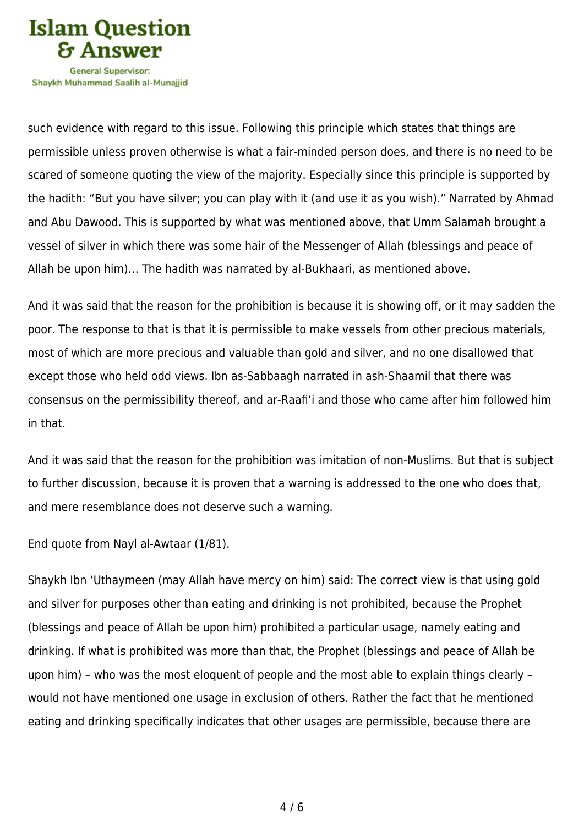

Shavkh Muhammad Saalih al-Munaiiid

such evidence with regard to this issue. Following this principle which states that things are permissible unless proven otherwise is what a fair-minded person does, and there is no need to be scared of someone quoting the view of the majority. Especially since this principle is supported by the hadith: "But you have silver; you can play with it (and use it as you wish)." Narrated by Ahmad and Abu Dawood. This is supported by what was mentioned above, that Umm Salamah brought a vessel of silver in which there was some hair of the Messenger of Allah (blessings and peace of Allah be upon him)… The hadith was narrated by al-Bukhaari, as mentioned above.

And it was said that the reason for the prohibition is because it is showing off, or it may sadden the poor. The response to that is that it is permissible to make vessels from other precious materials, most of which are more precious and valuable than gold and silver, and no one disallowed that except those who held odd views. Ibn as-Sabbaagh narrated in ash-Shaamil that there was consensus on the permissibility thereof, and ar-Raafi'i and those who came after him followed him in that.

And it was said that the reason for the prohibition was imitation of non-Muslims. But that is subject to further discussion, because it is proven that a warning is addressed to the one who does that, and mere resemblance does not deserve such a warning.

End quote from Nayl al-Awtaar (1/81).

Shaykh Ibn 'Uthaymeen (may Allah have mercy on him) said: The correct view is that using gold and silver for purposes other than eating and drinking is not prohibited, because the Prophet (blessings and peace of Allah be upon him) prohibited a particular usage, namely eating and drinking. If what is prohibited was more than that, the Prophet (blessings and peace of Allah be upon him) – who was the most eloquent of people and the most able to explain things clearly – would not have mentioned one usage in exclusion of others. Rather the fact that he mentioned eating and drinking specifically indicates that other usages are permissible, because there are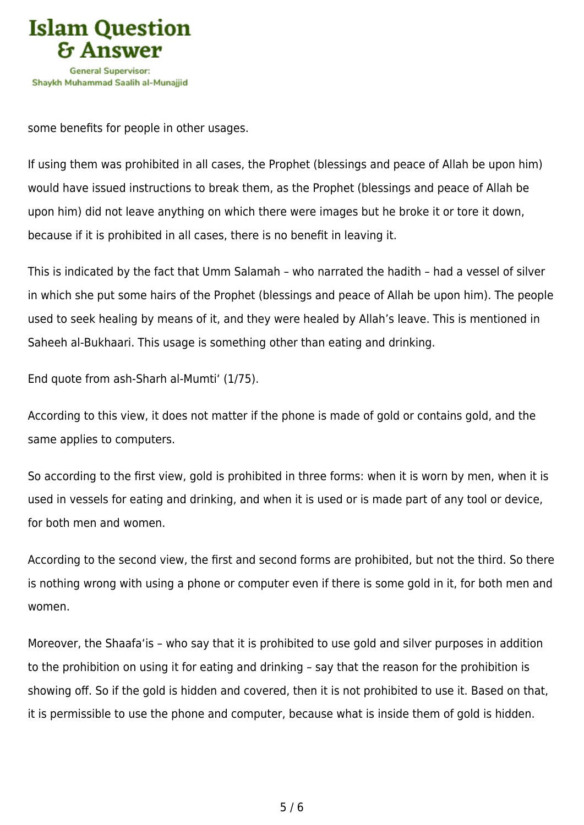

some benefits for people in other usages.

If using them was prohibited in all cases, the Prophet (blessings and peace of Allah be upon him) would have issued instructions to break them, as the Prophet (blessings and peace of Allah be upon him) did not leave anything on which there were images but he broke it or tore it down, because if it is prohibited in all cases, there is no benefit in leaving it.

This is indicated by the fact that Umm Salamah – who narrated the hadith – had a vessel of silver in which she put some hairs of the Prophet (blessings and peace of Allah be upon him). The people used to seek healing by means of it, and they were healed by Allah's leave. This is mentioned in Saheeh al-Bukhaari. This usage is something other than eating and drinking.

End quote from ash-Sharh al-Mumti' (1/75).

According to this view, it does not matter if the phone is made of gold or contains gold, and the same applies to computers.

So according to the first view, gold is prohibited in three forms: when it is worn by men, when it is used in vessels for eating and drinking, and when it is used or is made part of any tool or device, for both men and women.

According to the second view, the first and second forms are prohibited, but not the third. So there is nothing wrong with using a phone or computer even if there is some gold in it, for both men and women.

Moreover, the Shaafa'is – who say that it is prohibited to use gold and silver purposes in addition to the prohibition on using it for eating and drinking – say that the reason for the prohibition is showing off. So if the gold is hidden and covered, then it is not prohibited to use it. Based on that, it is permissible to use the phone and computer, because what is inside them of gold is hidden.